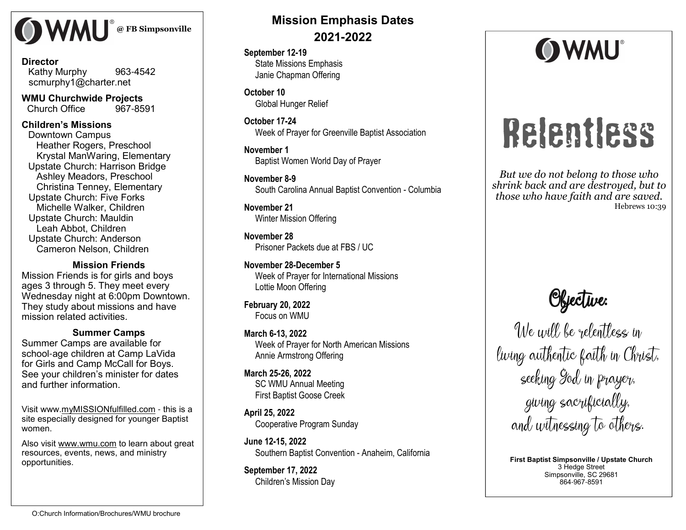

#### **Director** Kathy Murphy <sup>963</sup>-<sup>4542</sup>scmurphy1@charter.net

**WMU Churchwide Projects** <sup>967</sup>-<sup>8591</sup> Church Office

#### **Children's Missions**

 Downtown Campus Heather Rogers, Preschool Krystal ManWaring, Elementary Upstate Church: Harrison BridgeAshley Meadors, Preschool Christina Tenney, ElementaryUpstate Church: Five Forks Michelle Walker, ChildrenUpstate Church: MauldinLeah Abbot, Children Upstate Church: AndersonCameron Nelson, Children

**Mission Friends** Mission Friends is for girls and boys ages 3 through 5. They meet every Wednesday night at 6:00pm Downtown. They study about missions and have mission related activities.

#### **Summer Camps**

 Summer Camps are available for school-age children at Camp LaVida for Girls and Camp McCall for Boys. See your children's minister for dates and further information.

Visit www.myMISSIONfulfilled.com - this is a site especially designed for younger Baptist women.

Also visit www.wmu.com to learn about great resources, events, news, and ministry opportunities.

## **Mission Emphasis Dates 2021-2022**

**September 12-19** State Missions Emphasis Janie Chapman Offering

**October 10** Global Hunger Relief

**October 17-24**Week of Prayer for Greenville Baptist Association

**November 1** Baptist Women World Day of Prayer

**November 8-9**South Carolina Annual Baptist Convention - Columbia

**November 21** Winter Mission Offering

**November 28** Prisoner Packets due at FBS / UC

**November 28-December 5** Week of Prayer for International Missions Lottie Moon Offering

**February 20, 2022** Focus on WMU

**March 6-13, 2022** Week of Prayer for North American Missions Annie Armstrong Offering

**March 25-26, 2022** SC WMU Annual Meeting First Baptist Goose Creek

**April 25, 2022**Cooperative Program Sunday

**June 12-15, 2022** Southern Baptist Convention - Anaheim, California

**September 17, 2022**Children's Mission Day



# Relentless

*But we do not belong to those who shrink back and are destroyed, but to those who have faith and are saved.* Hebrews 10:39

**Objective:**<br>We will be relentless in living authentic faith in Christ, seeking God in prayer, giving sacrificially, and witnessing to others.

**First Baptist Simpsonville / Upstate Church**3 Hedge Street Simpsonville, SC 29681864-967-8591